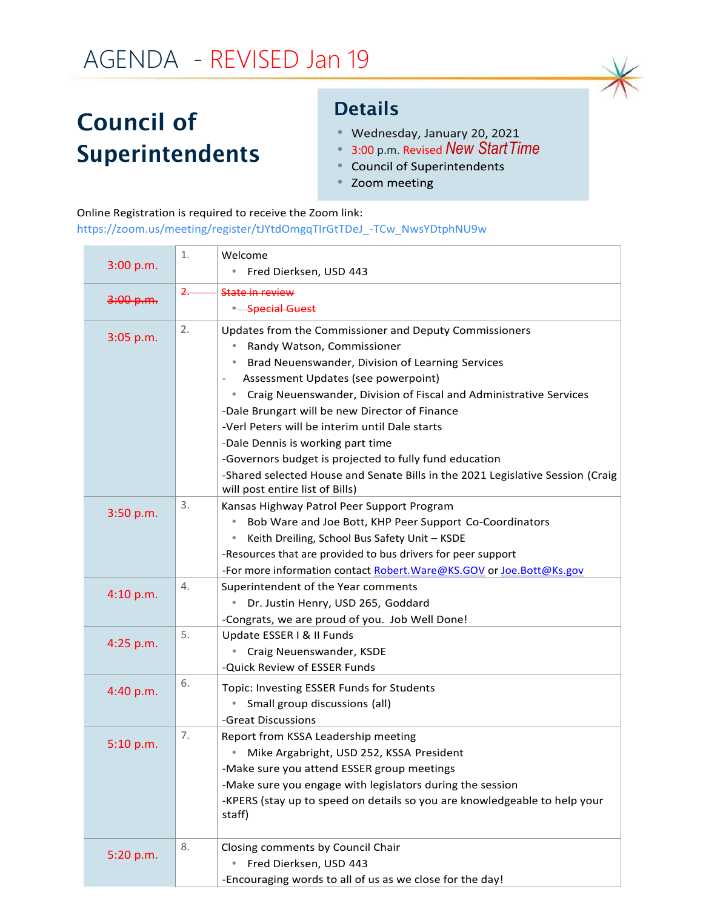## AGENDA - REVISED Jan 19

## Council of Superintendents

## Details

- Wednesday, January 20, 2021
- 3:00 p.m. Revised *New StartTime*
- $\bullet$
- Zoom meeting

## Online Registration is required to receive the Zoom link:

[https://zoom.us/meeting/register/tJYtdOmgqTIrGtTDeJ\\_-TCw\\_NwsYDtphNU9w](https://zoom.us/meeting/register/tJYtdOmgqTIrGtTDeJ_-TCw_NwsYDtphNU9w)

|           | 1. | Welcome                                                                         |
|-----------|----|---------------------------------------------------------------------------------|
| 3:00 p.m. |    | Fred Dierksen, USD 443                                                          |
|           | 2. | State in review                                                                 |
| 3:00 p.m. |    | Special Guest                                                                   |
|           | 2. | Updates from the Commissioner and Deputy Commissioners                          |
| 3:05 p.m. |    | Randy Watson, Commissioner                                                      |
|           |    | Brad Neuenswander, Division of Learning Services<br>۰                           |
|           |    | Assessment Updates (see powerpoint)                                             |
|           |    | Craig Neuenswander, Division of Fiscal and Administrative Services<br>$\bullet$ |
|           |    | -Dale Brungart will be new Director of Finance                                  |
|           |    | -Verl Peters will be interim until Dale starts                                  |
|           |    | -Dale Dennis is working part time                                               |
|           |    | -Governors budget is projected to fully fund education                          |
|           |    | -Shared selected House and Senate Bills in the 2021 Legislative Session (Craig  |
|           |    | will post entire list of Bills)                                                 |
| 3:50 p.m. | 3. | Kansas Highway Patrol Peer Support Program                                      |
|           |    | Bob Ware and Joe Bott, KHP Peer Support Co-Coordinators                         |
|           |    | Keith Dreiling, School Bus Safety Unit - KSDE<br>$\bullet$                      |
|           |    | -Resources that are provided to bus drivers for peer support                    |
|           |    | -For more information contact Robert. Ware@KS.GOV or Joe.Bott@Ks.gov            |
| 4:10 p.m. | 4. | Superintendent of the Year comments                                             |
|           |    | $\bullet$<br>Dr. Justin Henry, USD 265, Goddard                                 |
|           | 5. | -Congrats, we are proud of you. Job Well Done!<br>Update ESSER I & II Funds     |
| 4:25 p.m. |    | Craig Neuenswander, KSDE                                                        |
|           |    | -Quick Review of ESSER Funds                                                    |
|           | 6. |                                                                                 |
| 4:40 p.m. |    | Topic: Investing ESSER Funds for Students                                       |
|           |    | Small group discussions (all)<br>$\bullet$<br>-Great Discussions                |
|           | 7. | Report from KSSA Leadership meeting                                             |
| 5:10 p.m. |    | Mike Argabright, USD 252, KSSA President                                        |
|           |    | -Make sure you attend ESSER group meetings                                      |
|           |    | -Make sure you engage with legislators during the session                       |
|           |    | -KPERS (stay up to speed on details so you are knowledgeable to help your       |
|           |    | staff)                                                                          |
|           |    |                                                                                 |
|           | 8. | Closing comments by Council Chair                                               |
| 5:20 p.m. |    | Fred Dierksen, USD 443<br>۰                                                     |
|           |    | -Encouraging words to all of us as we close for the day!                        |